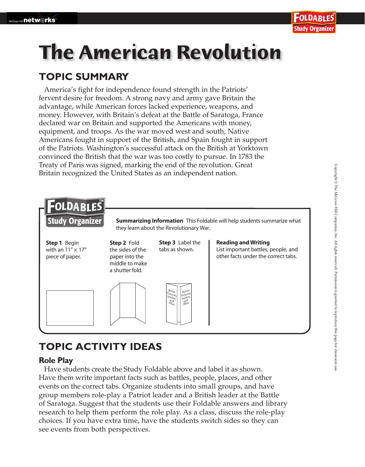## **The American Revolution**

#### **TOPIC SUMMARY**

America's fight for independence found strength in the Patriots' fervent desire for freedom. A strong navy and army gave Britain the advantage, while American forces lacked experience, weapons, and money. However, with Britain's defeat at the Battle of Saratoga, France declared war on Britain and supported the Americans with money, equipment, and troops. As the war moved west and south, Native Americans fought in support of the British, and Spain fought in support of the Patriots. Washington's successful attack on the British at Yorktown convinced the British that the war was too costly to pursue. In 1783 the Treaty of Paris was signed, marking the end of the revolution. Great Britain recognized the United States as an independent nation.



#### **TOPIC ACTIVITY IDEAS**

#### **Role Play**

 Have students create the Study Foldable above and label it as shown. Have them write important facts such as battles, people, places, and other events on the correct tabs. Organize students into small groups, and have group members role-play a Patriot leader and a British leader at the Battle of Saratoga. Suggest that the students use their Foldable answers and library research to help them perform the role play. As a class, discuss the role-play choices. If you have extra time, have the students switch sides so they can see events from both perspectives.